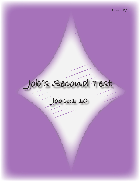# **Job's Second Test**

**Job 2:1-10**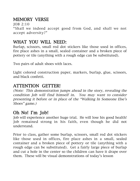# MEMORY VERSE

JOB 2:10 "Shall we indeed accept good from God, and shall we not accept adversity?"

### WHAT YOU WILL NEED:

Burlap, scissors, small red dot stickers like those used in offices, fire place ashes in a small, sealed container and a broken piece of pottery or tile (anything with a rough edge can be substituted).

Two pairs of adult shoes with laces.

Light colored construction paper, markers, burlap, glue, scissors, and black confetti.

### ATTENTION GETTER!

(Note: This demonstration jumps ahead in the story, revealing the condition Job will find himself in. You may want to consider presenting it before or in place of the "Walking In Someone Else's Shoes" game.)

## Oh No! I'm Job!

Job will experience another huge trial. He will lose his good health! Job remained strong in his faith, even though he did not understand.

Prior to class, gather some burlap, scissors, small red dot stickers like those used in offices, fire place ashes in a small, sealed container and a broken piece of pottery or tile (anything with a rough edge can be substituted). Get a fairly large piece of burlap and cut a hole in the center so the children can have it drape over them. These will be visual demonstrations of today's lesson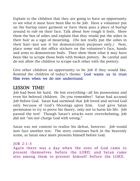Explain to the children that they are going to have an opportunity to see what it must have been like to be Job. Have a volunteer put on the burlap outer garment or have them pass a piece of burlap around to rub on their face. Talk about how rough it feels. Show them the box of ashes and explain that they would put the ashes in their hair as a sign of mourning. (Do not really put the ashes in their hair--just use it for demonstration purposes only,) Next, place some red dot office stickers on the volunteer's face, hands and arms to demonstrate boils. Then show them what it may have been like to scrape those boils with broken pottery. Be careful and do not allow the children to scrape each other with the pottery.

Give other children an opportunity to be Job if they would like. Remind the children of today's theme: God wants us to trust Him even when we do not understand.

#### LESSON TIME!

Job had been hit hard. He lost everything—all his possessions and even his beloved children. Do you remember? Satan had accused Job before God. Satan had surmised that Job loved and served God only because of God's blessings upon him. God gave Satan permission to try to prove his theory, only not to harm his life. Job passed the test! Though Satan's attacks were overwhelming, Job did not "sin nor charge God with wrong."

Satan was not content to realize his defeat, however. Job would now face another test. The story continues back in the heavenly scene, as Satan once more presents himself before God.

JOB 2:1-3

Again there was a day when the sons of God came to present themselves before the LORD, and Satan came also among them to present himself before the LORD.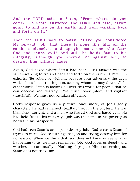And the LORD said to Satan, "From where do you come?" So Satan answered the LORD and said, "From going to and fro on the earth, and from walking back and forth on it."

Then the LORD said to Satan, "Have you considered My servant Job, that there is none like him on the earth, a blameless and upright man, one who fears God and shuns evil? And still he holds fast to his integrity, although you incited Me against him, to destroy him without cause."

Again, God asked where Satan had been. His answer was the same—walking to fro and back and forth on the earth. 1 Peter 5:8 exhorts, "Be sober, be vigilant; because your adversary the devil walks about like a roaring lion, seeking whom he may devour." In other words, Satan is looking all over this world for people that he can deceive and destroy. We must sober (alert) and vigilant (watchful). We must not be taken off guard!

God's response gives us a picture, once more, of Job's godly character. He had remained steadfast through the big test. He was blameless, upright, and a man who feared God and hated evil. He had held fast to his integrity. Job was the same in his poverty as he was in his prosperity.

God had seen Satan's attempt to destroy Job. God accuses Satan of trying to incite God to turn against Job and trying destroy him for no reason. When we think that God does not know or see what is happening to us, we must remember Job. God loves us deeply and watches us continually. Nothing slips past Him concerning us. Satan does not trick Him.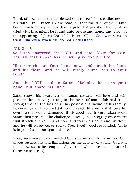Think of how it must have blessed God to see Job's steadfastness in his faith. In 1 Peter 1:7 we read, "…that the trial of your faith being much more precious than of gold that perishes, though it be tried with fire, might be found unto praise and honor and glory at the appearing of Jesus Christ" (1 Peter 1:7). God wants us to trust Him even when we do not understand.

JOB 2:4-6 So Satan answered the LORD and said, "Skin for skin! Yes, all that a man has he will give for his life.

"But stretch out Your hand now, and touch his bone and his flesh, and he will surely curse You to Your face!"

And the LORD said to Satan, "Behold, he is in your hand, but spare his life."

Satan shows his awareness of human nature. Self-love and selfpreservation are very strong in the heart of man. Job had stood strong through the loss of all his possessions including his family; however, Satan theorized Job would react differently if it were his own life that was endangered, if his good health were taken away. Satan then presents the challenge to test Job's integrity once more: "But stretch out Your hand now, and touch his bone and his flesh, and he will surely curse You to Your face!" God responded, "…He is in your hand; but spare his life."

Note, once more: Satan needed God's permission to harm Job. God places restrictions and limitations on the activity of Satan. God will not allow us to be tempted above that which we can endure (1 Corinthians 10:13).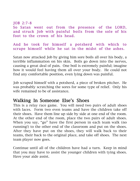JOB 2:7-8 So Satan went out from the presence of the LORD, and struck Job with painful boils from the sole of his foot to the crown of his head.

And he took for himself a potsherd with which to scrape himself while he sat in the midst of the ashes.

Satan now attacked Job by giving him sore boils all over his body, a terrible inflammation on his skin. Boils go down into the nerves, causing a great deal of pain. One boil is extremely painful; imagine how it would feel having them all over your body. He could not find any comfortable position, even lying down was painful.

Job scraped himself with a potsherd, a piece of broken pitcher. He was probably scratching the sores for some type of relief. Only his wife remained to be of assistance.

#### Walking In Someone Else's Shoes

This is a relay race game. You will need two pairs of adult shoes with laces. Form two even teams and have the children take off their shoes. Have them line up side by side at one end of the room. At the other end of the room, place the two pairs of adult shoes. When you say, "go" have the first person in each team walk (no running!) to the other end of the classroom and put on the shoes. After they have put on the shoes, they will walk back to their teams, their back to the original place, and take off shoes. The next team player now goes.

Continue until all of the children have had a turn. Keep in mind that you may have to assist the younger children with tying shoes. Have your aide assist.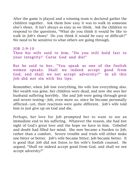After the game is played and a winning team is declared gather the children together. Ask them how easy it was to walk in someone else's shoes. It isn't always as easy as we think. Ask the children to respond to the questions, "What do you think it would be like to walk in Job's shoes? Do you think it would be easy or difficult?" We need to be sensitive to what others are going through.

```
JOB 2:9-10
Then his wife said to him, "Do you still hold fast to
your integrity? Curse God and die!"
But he said to her, "You speak as one of the foolish
women speaks. Shall we indeed accept good from
God, and shall we not accept adversity?" In all this
Job did not sin with his lips.
```
Remember, when Job lost everything, his wife lost everything also. Her wealth was gone, her children were dead, and now she sees her husband suffering horribly. She and Job were going through great and severe testing—Job, even more so, since he became personally afflicted—yet, their reactions were quite different. Job's wife told him to just give up on God and die.

Perhaps, her love for Job prompted her to want to see an immediate end to his suffering. Whatever the reason, she had lost sight of God's great love and the hope we have in him. Unbelief and doubt had filled her mind. She now became a burden to Job, rather than a comfort. Severe trouble and trials will either make one bitter or better. Job's wife became bitter; Job became better. It is good that Job did not listen to his wife's foolish counsel. He argued, "Shall we indeed accept good from God, and shall we not accept adversity?"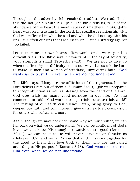Through all this adversity, Job remained steadfast. We read, "In all this did not Job sin with his lips." The Bible tells us, "Out of the abundance of the heart the mouth speaks" (Matthew 12:34). Job's heart was fixed, trusting in the Lord; his steadfast relationship with God was reflected in what he said and what he did not say with his lips. It is often our lips that are first to sin. Satan's strategy against Job failed.

Let us examine our own hearts. How would or do we respond to difficult trials. The Bible says, "If you faint in the day of adversity, your strength is small (Proverbs 24:10). We are not to give up when the first sign of difficulty comes our way. Let us ask the Lord to make us men and women of steadfast, unwavering faith. God wants us to trust Him even when we do not understand.

The Bible says, "Many are the afflictions of the righteous, but the Lord delivers him out of them all" (Psalm 34:19). Job was prepared to accept affliction as well as blessing from the hand of the Lord. God uses trials for many good purposes in our life. As one commentator said, "God works through trials, because trials work!" The testing of our faith can silence Satan, bring glory to God, deepen our faith and commitment, give us a heart-felt compassion for others who suffer, and more.

Again, though we may not understand why we must suffer, we can fall back on what we do understand. We can be confident of God's love—we can know His thoughts towards us are good (Jeremiah 29:11), we can be sure He will never leave us or forsake us (Hebrews 13:5), and we can "know that all things work together for the good to them that love God, to them who are the called according to His purpose" (Romans 8:28). God wants us to trust Him even when we do not understand.